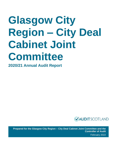# **Glasgow City Region – City Deal Cabinet Joint Committee**

**2020/21 Annual Audit Report** 



**Prepared for the Glasgow City Region – City Deal Cabinet Joint Committee and the Controller of Audit**  February 2022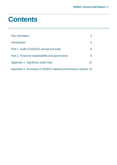### **Contents**

| Key messages                                                   | 3               |
|----------------------------------------------------------------|-----------------|
| Introduction                                                   | 4               |
| Part 1. Audit of 2020/21 annual accounts                       | 6.              |
| Part 2. Financial sustainability and governance                | 9               |
| Appendix 1. Significant audit risks                            | 12 <sup>°</sup> |
| Appendix 2. Summary of 2020/21 national performance reports 13 |                 |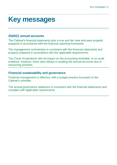### <span id="page-2-0"></span>**Key messages**

#### **2020/21 annual accounts**

The Cabinet's financial statements give a true and fair view and were properly prepared in accordance with the financial reporting framework.

The management commentary is consistent with the financial statements and properly prepared in accordance with the applicable requirements.

The Covid 19 pandemic did not impact on the accounting timetable, or on audit evidence, however, there were delays in auditing the annual accounts due to resourcing priorities.

#### **Financial sustainability and governance**

Financial management is effective, with a budget process focussed on the Cabinet's priorities.

The annual governance statement is consistent with the financial statements and complies with applicable requirements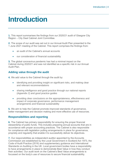### <span id="page-3-0"></span>**Introduction**

**1.** This report summarises the findings from our 2020/21 audit of Glasgow City Region – City Deal Cabinet Joint Committee.

**2.** The scope of our audit was set out in our Annual Audit Plan presented to the 1 June 2021 meeting of the Cabinet. This report comprises the findings from:

- an audit of the Cabinet's annual accounts
- our consideration of financial sustainability

**3.** The global coronavirus pandemic has had a minimal impact on the Cabinet during 2020/21 and was not identified as a specific risk in our Annual Audit Plan.

#### **Adding value through the audit**

**4.** We add value to the Cabinet through the audit by:

- identifying and providing insight on significant risks, and making clear and relevant recommendations
- sharing intelligence and good practice through our national reports [\(Appendix](#page-12-0) 2) and good practice guides
- providing clear conclusions on the appropriateness, effectiveness and impact of corporate governance, performance management arrangements and financial sustainability

**5.** We aim to help the Cabinet promote improved standards of governance, better management and decision making and more effective use of resources.

#### **Responsibilities and reporting**

**6.** The Cabinet has primary responsibility for ensuring the proper financial stewardship of public funds. This includes preparing annual accounts that are in accordance with proper accounting practices. The Cabinet is also responsible for compliance with legislation putting arrangements in place for governance, propriety and regularity that enable it to successfully deliver its objectives.

**7.** Our responsibilities as independent auditor appointed by the Accounts Commission are established by the Local Government in Scotland Act 1973, the [Code of Audit Practice \(2016\)](http://www.audit-scotland.gov.uk/report/code-of-audit-practice-2016) and supplementary guidance and International Standards on Auditing in the UK. Local government bodies have a responsibility to have arrangements in place to demonstrate Best Value in how they conduct their activities. Our audit work on the Cabinet's Best Value arrangements is focussed on the body's use of resources to secure financial sustainability.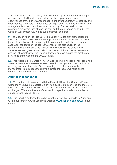**8.** As public sector auditors we give independent opinions on the annual report and accounts. Additionally, we conclude on the appropriateness and effectiveness of the performance management arrangements, the suitability and effectiveness of corporate governance arrangements, the financial position and arrangements for securing financial sustainability. Further details of the respective responsibilities of management and the auditor can be found in the Code of Audit Practice 2016 and supplementary guidance.

**9.** The [Code of Audit Practice 2016](http://www.audit-scotland.gov.uk/report/code-of-audit-practice-2016) (the Code) includes provisions relating to the audit of small bodies. Where the application of the full wider audit scope is judged by auditors not to be appropriate to an audited body then the annual audit work can focus on the appropriateness of the disclosures in the governance statement and the financial sustainability of the body and its services. As highlighted in our 2020/21 Annual Audit Plan, due to the volume and lack of complexity of the financial transactions, we applied the small body provisions of the Code to the 2020/21 audit.

**10.** This report raises matters from our audit. The weaknesses or risks identified are only those which have come to our attention during our normal audit work and may not be all that exist. Communicating these does not absolve management from its responsibility to address the issues we raise and to maintain adequate systems of control.

#### **Auditor Independence**

**11.** We confirm that we comply with the Financial Reporting Council's Ethical Standard. We have not undertaken any non-audit related services and therefore the 2020/21 audit fee of £8,600 as set out in our Annual Audit Plan, remains unchanged. We are not aware of any relationships that could compromise our objectivity and independence.

**12.** This report is addressed to both the Cabinet and the Controller of Audit and will be published on Audit Scotland's website [www.audit-scotland.gov.uk](http://www.audit-scotland.gov.uk/) in due course.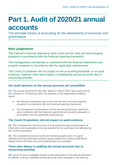## <span id="page-5-0"></span>**Part 1. Audit of 2020/21 annual accounts**

The principal means of accounting for the stewardship of resources and performance

#### **Main judgements**

The Cabinet's financial statements give a true and fair view and were properly prepared in accordance with the financial reporting framework.

The management commentary is consistent with the financial statements and properly prepared in accordance with the applicable requirements.

The Covid 19 pandemic did not impact on the accounting timetable, or on audit evidence, however, there were delays in auditing the annual accounts due to resourcing priorities.

#### **Our audit opinions on the annual accounts are unmodified**

**13.** The annual accounts for the year ended 31 March 2021 were approved by the Cabinet on 15 February 2022. As reported in the independent auditor's report:

- the financial statements give a true and fair view and were properly prepared in accordance with the financial reporting framework
- the management commentary and the annual governance statement were consistent with the financial statements and properly prepared in accordance with the applicable requirements.

#### **The Covid-19 pandemic did not impact on audit evidence**

**14.** The completeness and accuracy of accounting records and the extent of information and explanations that we required for our audit were not affected by the Covid19 pandemic.

**15.** The unaudited annual accounts and working papers were of a good standard and the audit team received good support from finance staff which helped ensure the final accounts audit process ran smoothly.

#### **There were delays in auditing the annual accounts due to resourcing priorities**

**16.** Covid-19 had a negligible impact on the preparation of the annual accounts by officers, and the unaudited annual accounts were received in line with our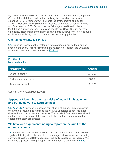agreed audit timetable on 25 June 2021. As a result of the continuing impact of Covid-19, the statutory deadline for certifying the annual accounts was extended to 30 November 2021, similar to the arrangements applied for 2019/20. However, Audit Scotland, in response to the risks to public services and finances from COVID-19 across the full range of audit work, viewed 2020/21 as a transitional year in moving back to pre Covid-19 audit delivery timetables. Resourcing of the financial statements audit was therefore delayed until December 2021, to accommodate other resourcing priorities.

#### **Overall materiality is £24,300**

**17.** Our initial assessment of materiality was carried out during the planning phase of the audit. This was reviewed and revised on receipt of the unaudited annual accounts and is summarised in [Exhibit](#page-6-0) 1.

#### <span id="page-6-0"></span>**Exhibit 1 Materiality values**

| <b>Materiality level</b>   | <b>Amount</b> |
|----------------------------|---------------|
| <b>Overall materiality</b> | £24,300       |
| Performance materiality    | £18,200       |
| <b>Reporting threshold</b> | £1,200        |

Source: Annual Audit Plan 2020/21

#### **[Appendix 1](#page-11-0) identifies the main risks of material misstatement and our audit work to address these**

**18.** [Appendix 1](#page-11-0) provides our assessment of risks of material misstatement in the annual accounts and identifies the work we undertook to address these risks and our conclusions from this work. These risks influence our overall audit strategy, the allocation of staff resources to the audit and inform where the efforts of the team are directed.

#### **We have one significant finding to report on the audit of the annual accounts**

**19.** International Standard on Auditing (UK) 260 requires us to communicate significant findings from the audit to those charged with governance, including our view about the qualitative aspects of the body's accounting practices. We have one significant finding to report from the audit, as described in [Exhibit](#page-7-0) 2.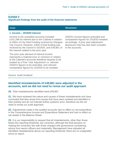#### <span id="page-7-0"></span>**Exhibit 2 Significant findings from the audit of the financial statements**

#### **1. Income – 2019/20 Interest**

Income in the unaudited accounts included £101,296 for interest due to the Cabinet in relation to £60m of City Deal Funding received by Glasgow City Council. However, £30m of that funding was received by the council in 2019/20, and £49,861 of the interest related to the prior year.

The prior year element of interest income represents a material error or omission in relation to the Cabinet's accounts therefore requires to be treated as a Prior Year Adjustment i.e. relevant 2020/21 figures to be amended, and relevant comparative figures for 2019/20 to be restated.

#### **Issue Resolution**

2020/21 income figures amended and comparative figures for 2019/20 restated accordingly. A prior year adjustment disclosure note has also been included in the accounts.

#### Source: Audit Scotland

#### **Identified misstatements of £49,861 were adjusted in the accounts, and we did not need to revise our audit approach**

**20.** Total misstatements identified were £49,861.

**21.** We have reviewed the nature and causes of these misstatements and have concluded that they arose from issues that have been isolated and identified in their entirety and do not indicate further systemic error, therefore we did not need to revise our audit approach.

**22.** Adjustments made in the audited accounts had no effect on net expenditure in the Comprehensive Income and Expenditure Statement and had no effect on net assets in the Balance Sheet.

**23.** It is our responsibility to request that all misstatements, other than those below the reporting threshold, are corrected, although the final decision on making the correction lies with those charged with governance considering advice from senior officers and materiality. Management have adjusted all identified misstatements above our reporting threshold; there are no unadjusted errors to report.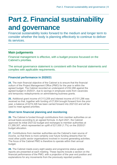## <span id="page-8-0"></span>**Part 2. Financial sustainability and governance**

Financial sustainability looks forward to the medium and longer term to consider whether the body is planning effectively to continue to deliver its services.

#### **Main judgements**

Financial management is effective, with a budget process focussed on the Cabinet's priorities.

The annual governance statement is consistent with the financial statements and complies with applicable requirements.

#### **Financial performance in 2020/21**

**24.** The main financial objective of the Cabinet is to ensure that the financial outturn of the Project Management Office (PMO) for the year is within the agreed budget. The Cabinet recorded an underspend of £52,266 against the agreed budget in 2020/21, due to savings in employee costs from vacancies and temporary redeployments on administering business grants.

**25.** Additional grant income of £113,209 and interest income of £101,296 was received so that, together with funding of £7,604 brought forward from the prior year, a balance of £274,326 has been carried forward into 2021/22 and will be used to meet agreed priorities.

#### **Short term financial planning and monitoring**

**26.** The Cabinet is funded through contributions from member authorities on an annual basis according to an agreed formula. In April 2021, the Cabinet approved its initial 2021/22 budget and recharges to member authorities at £1,289,307, which represented an uplift of £21,000 (1.7%) on the 2020/21 budget allocation.

**27.** Contributions from member authorities are the Cabinet's main source of income, so that there is more certainty over future funding streams than for most other public sector organisations involved in income generating activities. The focus of the Cabinet PMO is therefore to operate within their annual budget.

**28.** The Cabinet meets every eight weeks and programme status update reports are presented at each meeting. These reports include a section on the financial performance of the PMO, with a projection of the year end position and explanations for any movements from the previously reported position.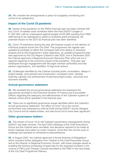**29.** We consider the arrangements in place for budgetary monitoring and control to be satisfactory.

#### **Impact of the Covid-19 pandemic**

**30.** Impact of the pandemic on the PMOs financial plan has been minimal with any Covid 19 related costs contained within the final 2020/21 budget of £1,267,902, with an underspend against budget of £52,266 resulting from PMO staff having to be reassigned to assist on business grant processing. No potential impact on the 2021/22 financial plan has been identified.

**31.** Covid 19 restrictions during the year did however impact on the delivery of individual projects across the City Deal. The programme risk register was updated accordingly to reflect the increased risks from delays to individual projects and to the programme's wider objectives, an updated programme plan was approved by the City Region Cabinet in late 2020, and in December 2020 the Cabinet approved a Regional Economic Recovery Plan which set out a regional response to the economic impact of the pandemic. That plan was developed through engagement with the eight member authorities and their partner organisations, and identified 10 high level actions.

**32.** Challenges identified by the Cabinet included public consultation, delays in project design, procurement and construction, increased costs, member authority capacity and achievement of planned project scope, outcomes and economic benefits.

#### **Annual governance statement**

**33.** We reviewed the annual governance statement and assessed the assurances provided to the Executive Director of Finance (as Accountable Officer) regarding the adequacy and effectiveness of the Cabinet's system of internal control which operated in the financial year.

**34.** There are no significant governance issues identified within the Cabinet's annual governance statement. The effect of Covid 19 on the control environment was assessed by Internal Audit during 2020/21 across Glasgow City Council and its related bodies, and was found not to have been significant.

#### **Other governance matters**

**35.** The impact of Covid 19 on the Cabinet's governance arrangements during 2020/21 has been minimal. The April 2020 meetings of the Chief Executive's Group and the Cabinet were cancelled, and decisions required to be made at these meetings were taken by email, however, since then the normal cycle of meetings has operated on schedule by teleconference.

**36.** In August 2020, the Cabinet approved a formal Scheme of Delegations which included further delegation from Cabinet to the Chief Executives Group and to the Director of Regional Economic Growth, with these changes aimed at enabling the timeous processing of approvals for the expected increase in the volume of FBCs and Change Controls submitted to the PMO in the next phase of the City Deal Programme Delivery.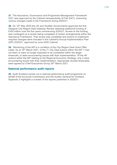**37.** The Assurance, Governance and Programme Management Framework 2021 was approved by the Cabinet retrospectively (9 Feb 2021), endorsing various changes made to the Framework during 2020/21.

**38.** On 15<sup>th</sup> May 2020 the UK and Scottish Governments approved the first Glasgow City Region Deal Gateway Review releasing additional funding of £250 million over the five years commencing 2020/21. Access to the funding was contingent on a review being completed of certain arrangements within the Assurance Framework. That review was completed and actions to implement required changes were included in the Cabinet's Annual Implementation Plan (AIP) 2020/21, approved by June 2020 Cabinet.

**39.** Monitoring of the AIP is a condition of the City Region Deal Grant Offer Letter. As at 16<sup>th</sup> March 2021, of the 71 City Deal actions within the AIP, 7 had not been or were no longer expected to be completed within the target timescale, or were encountering issues with their implementation. Of the 48 actions within the AIP relating to the Regional Economic Strategy, only 2 were encountering issues with their implementation. Appropriate revised timescales were agreed by Chief Executives Group 25<sup>th</sup> March 2021.

#### **National performance audit reports**

**40.** Audit Scotland carries out a national performance audit programme on behalf of the Accounts Commission and the Auditor General for Scotland. Appendix 2 highlights a number of the reports published in 2020/21.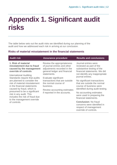### <span id="page-11-0"></span>**Appendix 1. Significant audit risks**

The table below sets out the audit risks we identified during our planning of the audit and how we addressed each risk in arriving at our conclusion.

#### **Risks of material misstatement in the financial statements**

| <b>Audit risk</b>                                                                                                                                                                                                                                                                                                                                                                                                                             | <b>Assurance procedure</b>                                                                                                               | <b>Results and conclusions</b>                                                                                                                                                                                                                                                                                                                                                     |
|-----------------------------------------------------------------------------------------------------------------------------------------------------------------------------------------------------------------------------------------------------------------------------------------------------------------------------------------------------------------------------------------------------------------------------------------------|------------------------------------------------------------------------------------------------------------------------------------------|------------------------------------------------------------------------------------------------------------------------------------------------------------------------------------------------------------------------------------------------------------------------------------------------------------------------------------------------------------------------------------|
| 1. Risk of material<br>misstatement due to fraud<br>caused by the management<br>override of controls<br><b>International Auditing</b><br>Standards require that audits<br>are planned to consider the<br>risk of material misstatement<br>in the financial statements<br>caused by fraud, which is<br>presumed to be a significant<br>risk in any audit. This<br>includes the risk of fraud due<br>to the management override<br>of controls. | Review the appropriateness<br>of journal entries and other<br>adjustments recorded in the<br>general ledger and financial<br>statements. | Journal entries were<br>reviewed as part of the<br>substantive testing of the<br>financial statements. We did<br>not identify any inappropriate<br>journal entries.<br>No significant transactions<br>that are outside the normal<br>course of business were<br>identified during audit testing.<br>No accounting estimates<br>were used in preparing the<br>financial statements. |
|                                                                                                                                                                                                                                                                                                                                                                                                                                               | Evaluate significant<br>transactions that are outside<br>the normal course of<br>business.                                               |                                                                                                                                                                                                                                                                                                                                                                                    |
|                                                                                                                                                                                                                                                                                                                                                                                                                                               | Review accounting estimates<br>if reported in the accounts.                                                                              |                                                                                                                                                                                                                                                                                                                                                                                    |
|                                                                                                                                                                                                                                                                                                                                                                                                                                               |                                                                                                                                          | <b>Conclusion: No fraud</b><br>concerns were identified in<br>respect of management<br>override of controls.                                                                                                                                                                                                                                                                       |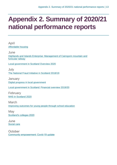### <span id="page-12-0"></span>**Appendix 2. Summary of 2020/21 national performance reports**

April [Affordable housing](https://www.audit-scotland.gov.uk/report/affordable-housing) **June** [Highlands and Islands Enterprise: Management of Cairngorm mountain and](https://www.audit-scotland.gov.uk/report/highlands-and-islands-enterprise-management-of-cairngorm-mountain-and-funicular-railway)  [funicular railway](https://www.audit-scotland.gov.uk/report/highlands-and-islands-enterprise-management-of-cairngorm-mountain-and-funicular-railway) [Local government in Scotland Overview 2020](https://www.audit-scotland.gov.uk/report/local-government-in-scotland-overview-2020) July [The National Fraud Initiative in Scotland 2018/19](https://www.audit-scotland.gov.uk/report/the-national-fraud-initiative-in-scotland-201819) **January** [Digital progress in local government](https://www.audit-scotland.gov.uk/report/digital-progress-in-local-government) [Local government in Scotland: Financial overview 2019/20](https://www.audit-scotland.gov.uk/report/local-government-in-scotland-financial-overview-201920) February [NHS in Scotland 2020](https://www.audit-scotland.gov.uk/report/nhs-in-scotland-2020) March [Improving outcomes for young people through school education](https://www.audit-scotland.gov.uk/report/improving-outcomes-for-young-people-through-school-education) **May** [Scotland's colleges 2020](https://www.audit-scotland.gov.uk/report/scotlands-colleges-2020) June [Social care](https://www.audit-scotland.gov.uk/report/social-care) **October** [Community empowerment: Covid-19 update](https://www.audit-scotland.gov.uk/report/community-empowerment-covid-19-update)